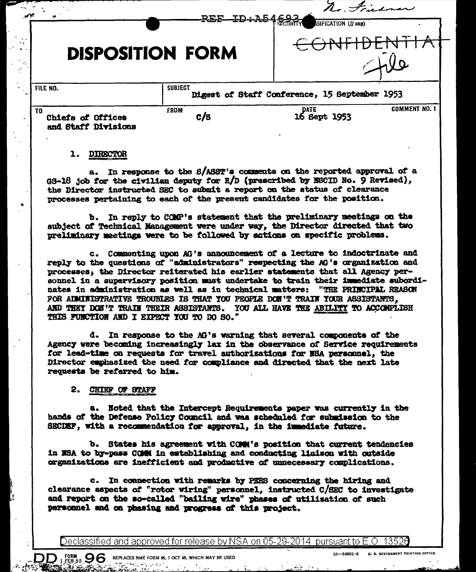| $\sim$                                          | REF-ID+A546937          | $\overline{\phantom{a}}$<br>SIFICATION (If any) |                      |
|-------------------------------------------------|-------------------------|-------------------------------------------------|----------------------|
|                                                 | <b>DISPOSITION FORM</b> |                                                 |                      |
| FILE NO.                                        | <b>SUBJECT</b>          | Digest of Staff Conference, 15 September 1953   |                      |
| TO.<br>Chiefa of Offices<br>and Staff Divisions | <b>FROM</b><br>c/s      | DATE<br>16 Sept 1953                            | <b>COMMENT NO. 1</b> |

## 1. DIRECTOR

In response to the S/ASST's comments on the reported approval of a  $a_{-}$ GS-18 job for the civilian deputy for R/D (prescribed by ESCID No. 9 Revised), the Director instructed SEC to submit a report on the status of clearance processes pertaining to each of the present candidates for the position.

b. In reply to COMP's statement that the preliminary meetings on the subject of Technical Management were under way, the Director directed that two preliminary meetings were to be followed by actions on specific problems.

c. Commenting upon AG's announcement of a lecture to indoctrinate and reply to the questions of "administrators" respecting the AG's organization and processes, the Director reiterated his earlier statements that all Agency personnel in a supervisory position must undertake to train their inmediate subordinates in administration as well as in technical matters: "THE PRINCIPAL REASON FOR ADMINISTRATIVE TROUBLES IS THAT YOU PEOPLE DON'T TRAIN YOUR ASSISTANTS. AND THEY DON'T TRAIN THEIR ASSISTANTS. YOU ALL HAVE THE ABILITY TO ACCOMPLISH THIS FUNCTION AND I EXPECT YOU TO DO SO."

d. In response to the AG's warning that several components of the Agency were becoming increasingly lax in the observance of Service requirements for lead-time on requests for travel authorizations for NSA personnel, the Director emphasized the need for compliance and directed that the next late requests be referred to him.

## 2. CHIEF OF STAFF

 $\text{DD}_{1}$  form  $\text{96}$  replaces nme form \$6, 1 oct 48, which may be used

a. Noted that the Intercept Requirements paper was currently in the hands of the Defense Policy Council and was scheduled for submission to the SECDEF, with a recommendation for approval, in the immediate future.

b. States his agreement with COMM's position that current tendencies in NSA to by-pass COMM in establishing and conducting liaison with outside organizations are inefficient and productive of unnecessary complications.

c. In connection with remarks by PERS concerning the hiring and clearance aspects of "rotor wiring" personnel, instructed C/SEC to investigate and report on the so-called "bailing wire" phases of utilization of such personnel and on phasing and progress of this project.

Declassified and approved for release by NSA on 05-29-2014 pursuant to E.O. 13526

 $\mathcal{L}$ .

⋊